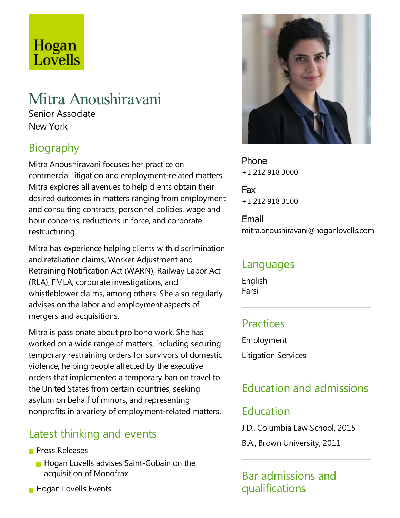# Hogan Lovells

## Mitra Anoushiravani

Senior Associate New York

## Biography

Mitra Anoushiravani focuses her practice on commercial litigation and employment-related matters. Mitra explores all avenues to help clients obtain their desired outcomes in matters ranging from employment and consulting contracts, personnel policies, wage and hour concerns, reductions in force, and corporate restructuring.

Mitra has experience helping clients with discrimination and retaliation claims, Worker Adjustment and Retraining Notification Act (WARN), Railway Labor Act (RLA), FMLA, corporate investigations, and whistleblower claims, among others. She also regularly advises on the labor and employment aspects of mergers and acquisitions.

Mitra is passionate about pro bono work. She has worked on a wide range of matters, including securing temporary restraining orders for survivors of domestic violence, helping people affected by the executive orders that implemented atemporary ban on travel to the United States from certain countries, seeking asylum on behalf of minors, and representing nonprofits in a variety of employment-related matters.

### Latest thinking and events

- **Press Releases** 
	- **Hogan Lovells advises Saint-Gobain on the** acquisition of Monofrax
- **Hogan Lovells Events**



Phone +1 212 918 3000

Fax +1 212 918 3100

Email mitra.anoushiravani@hoganlovells.com

#### Languages

English Farsi

#### Practices

Employment

Litigation Services

## Education and admissions

#### Education

J.D., Columbia Law School, 2015

B.A., Brown University, 2011

Bar admissions and qualifications